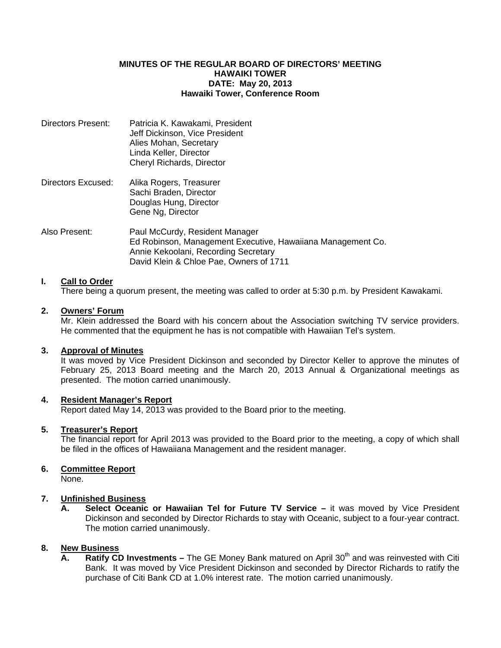#### **MINUTES OF THE REGULAR BOARD OF DIRECTORS' MEETING HAWAIKI TOWER DATE: May 20, 2013 Hawaiki Tower, Conference Room**

| Directors Present: | Patricia K. Kawakami, President<br>Jeff Dickinson, Vice President<br>Alies Mohan, Secretary<br>Linda Keller, Director<br>Cheryl Richards, Director                               |
|--------------------|----------------------------------------------------------------------------------------------------------------------------------------------------------------------------------|
| Directors Excused: | Alika Rogers, Treasurer<br>Sachi Braden, Director<br>Douglas Hung, Director<br>Gene Ng, Director                                                                                 |
| Also Present:      | Paul McCurdy, Resident Manager<br>Ed Robinson, Management Executive, Hawaiiana Management Co.<br>Annie Kekoolani, Recording Secretary<br>David Klein & Chloe Pae, Owners of 1711 |

# **I. Call to Order**

There being a quorum present, the meeting was called to order at 5:30 p.m. by President Kawakami.

# **2. Owners' Forum**

Mr. Klein addressed the Board with his concern about the Association switching TV service providers. He commented that the equipment he has is not compatible with Hawaiian Tel's system.

#### **3. Approval of Minutes**

 It was moved by Vice President Dickinson and seconded by Director Keller to approve the minutes of February 25, 2013 Board meeting and the March 20, 2013 Annual & Organizational meetings as presented. The motion carried unanimously.

#### **4. Resident Manager's Report**

Report dated May 14, 2013 was provided to the Board prior to the meeting.

# **5. Treasurer's Report**

 The financial report for April 2013 was provided to the Board prior to the meeting, a copy of which shall be filed in the offices of Hawaiiana Management and the resident manager.

# **6. Committee Report**

None.

# **7. Unfinished Business**

 **A. Select Oceanic or Hawaiian Tel for Future TV Service –** it was moved by Vice President Dickinson and seconded by Director Richards to stay with Oceanic, subject to a four-year contract. The motion carried unanimously.

# **8. New Business**

**A.** Ratify CD Investments – The GE Money Bank matured on April 30<sup>th</sup> and was reinvested with Citi Bank. It was moved by Vice President Dickinson and seconded by Director Richards to ratify the purchase of Citi Bank CD at 1.0% interest rate. The motion carried unanimously.